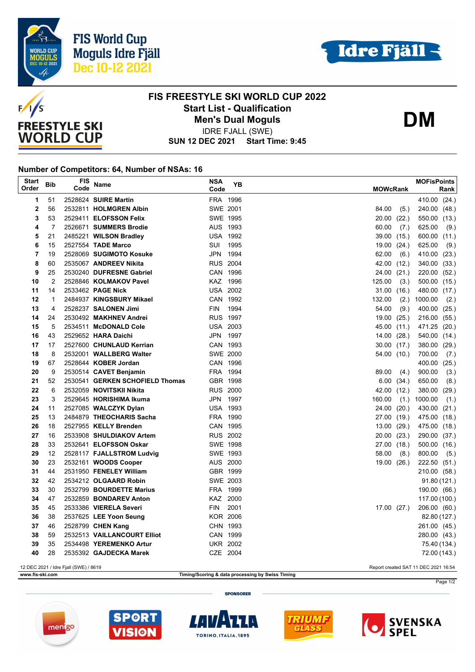





## **FIS FREESTYLE SKI WORLD CUP 2022 Start List - Qualification Men's Dual Moguls**

**DM**

**SUN 12 DEC 2021 Start Time: 9:45** IDRE FJALL (SWE)

## **Number of Competitors: 64, Number of NSAs: 16**

| <b>Start</b><br>Order                                                         | Bib            | FIS<br>Code | <b>Name</b>                     | <b>NSA</b><br>Code | <b>YB</b> | <b>MOWcRank</b> | <b>MOFisPoints</b><br>Rank |
|-------------------------------------------------------------------------------|----------------|-------------|---------------------------------|--------------------|-----------|-----------------|----------------------------|
| 1                                                                             | 51             |             | 2528624 SUIRE Martin            | FRA 1996           |           |                 | 410.00 (24.)               |
| $\overline{2}$                                                                | 56             |             | 2532811 HOLMGREN Albin          | SWE 2001           |           | 84.00<br>(5.)   | 240.00 (48.)               |
| 3                                                                             | 53             |             | 2529411 ELOFSSON Felix          | SWE 1995           |           | 20.00<br>(22.)  | 550.00 (13.)               |
| 4                                                                             | $\overline{7}$ |             | 2526671 SUMMERS Brodie          | AUS 1993           |           | 60.00<br>(7.)   | 625.00<br>(9.)             |
| 5                                                                             | 21             |             | 2485221 WILSON Bradley          | <b>USA 1992</b>    |           | 39.00<br>(15.)  | 600.00 (11.)               |
| 6                                                                             | 15             |             | 2527554 TADE Marco              | SUI 1995           |           | 19.00<br>(24.)  | 625.00<br>(9.)             |
| 7                                                                             | 19             |             | 2528069 SUGIMOTO Kosuke         | JPN 1994           |           | 62.00<br>(6.)   | 410.00 (23.)               |
| 8                                                                             | 60             |             | 2535067 ANDREEV Nikita          | <b>RUS 2004</b>    |           | 42.00<br>(12.)  | 340.00 (33.)               |
| 9                                                                             | 25             |             | 2530240 DUFRESNE Gabriel        | CAN 1996           |           | 24.00<br>(21.)  | 220.00 (52.)               |
| 10                                                                            | 2              |             | 2528846 KOLMAKOV Pavel          | KAZ 1996           |           | 125.00<br>(3.)  | 500.00 (15.)               |
| 11                                                                            | 14             |             | 2533462 PAGE Nick               | <b>USA 2002</b>    |           | 31.00(16.)      | 480.00 (17.)               |
| 12                                                                            | $\mathbf{1}$   |             | 2484937 KINGSBURY Mikael        | CAN 1992           |           | 132.00<br>(2.)  | 1000.00<br>(2.)            |
| 13                                                                            | 4              |             | 2528237 SALONEN Jimi            | <b>FIN</b>         | 1994      | 54.00<br>(9.)   | 400.00 (25.)               |
| 14                                                                            | 24             |             | 2530492 MAKHNEV Andrei          | <b>RUS 1997</b>    |           | 19.00<br>(25.)  | 216.00 (55.)               |
| 15                                                                            | 5              |             | 2534511 McDONALD Cole           | <b>USA 2003</b>    |           | 45.00<br>(11.)  | 471.25 (20.)               |
| 16                                                                            | 43             |             | 2529652 HARA Daichi             | JPN 1997           |           | 14.00<br>(28.)  | 540.00 (14.)               |
| 17                                                                            | 17             |             | 2527600 CHUNLAUD Kerrian        | CAN 1993           |           | 30.00(17.)      | 380.00 (29.)               |
| 18                                                                            | 8              |             | 2532001 WALLBERG Walter         | <b>SWE 2000</b>    |           | 54.00 (10.)     | 700.00<br>(7.)             |
| 19                                                                            | 67             |             | 2528644 KOBER Jordan            | CAN 1996           |           |                 | 400.00 (25.)               |
| 20                                                                            | 9              |             | 2530514 CAVET Benjamin          | FRA 1994           |           | 89.00<br>(4.)   | 900.00<br>(3.)             |
| 21                                                                            | 52             |             | 2530541 GERKEN SCHOFIELD Thomas | GBR 1998           |           | 6.00<br>(34.)   | 650.00<br>(8.)             |
| 22                                                                            | 6              |             | 2532059 NOVITSKII Nikita        | <b>RUS 2000</b>    |           | 42.00<br>(12.)  | 380.00 (29.)               |
| 23                                                                            | 3              |             | 2529645 HORISHIMA Ikuma         | JPN 1997           |           | 160.00<br>(1.)  | 1000.00<br>(1.)            |
| 24                                                                            | 11             |             | 2527085 WALCZYK Dylan           | <b>USA 1993</b>    |           | 24.00<br>(20.)  | 430.00 (21.)               |
| 25                                                                            | 13             |             | 2484879 THEOCHARIS Sacha        | FRA 1990           |           | 27.00<br>(19.)  | 475.00 (18.)               |
| 26                                                                            | 18             |             | 2527955 KELLY Brenden           | CAN 1995           |           | 13.00<br>(29.)  | 475.00 (18.)               |
| 27                                                                            | 16             |             | 2533908 SHULDIAKOV Artem        | <b>RUS 2002</b>    |           | 20.00<br>(23.)  | 290.00 (37.)               |
| 28                                                                            | 33             |             | 2532641 ELOFSSON Oskar          | <b>SWE 1998</b>    |           | 27.00<br>(18.)  | 500.00 (16.)               |
| 29                                                                            | 12             |             | 2528117 FJALLSTROM Ludvig       | SWE 1993           |           | 58.00<br>(8.)   | 800.00<br>(5.)             |
| 30                                                                            | 23             |             | 2532161 WOODS Cooper            | AUS 2000           |           | 19.00 (26.)     | 222.50 (51.)               |
| 31                                                                            | 44             |             | 2531950 FENELEY William         | GBR 1999           |           |                 | 210.00 (58.)               |
| 32                                                                            | 42             |             | 2534212 OLGAARD Robin           | SWE 2003           |           |                 | 91.80 (121.)               |
| 33                                                                            | 30             |             | 2532799 BOURDETTE Marius        | FRA 1999           |           |                 | 190.00 (66.)               |
| 34                                                                            | 47             |             | 2532859 BONDAREV Anton          | KAZ 2000           |           |                 | 117.00 (100.)              |
| 35                                                                            | 45             |             | 2533386 VIERELA Severi          | <b>FIN</b>         | 2001      | 17.00(27.)      | 206.00 (60.)               |
| 36                                                                            | 38             |             | 2537625 LEE Yoon Seung          | <b>KOR 2006</b>    |           |                 | 82.80 (127.)               |
| 37                                                                            | 46             |             | 2528799 CHEN Kang               | CHN 1993           |           |                 | 261.00 (45.)               |
| 38                                                                            | 59             |             | 2532513 VAILLANCOURT Elliot     | CAN 1999           |           |                 | 280.00 (43.)               |
| 39                                                                            | 35             |             | 2534498 YEREMENKO Artur         | <b>UKR 2002</b>    |           |                 | 75.40 (134.)               |
| 40                                                                            | 28             |             | 2535392 GAJDECKA Marek          | CZE 2004           |           |                 | 72.00 (143.)               |
| 12 DEC 2021 / Idre Fjall (SWE) / 8619<br>Report created SAT 11 DEC 2021 16:54 |                |             |                                 |                    |           |                 |                            |

**www.fis-ski.com Timing/Scoring & data processing by Swiss Timing**

Page 1/2

**SPONSORER**